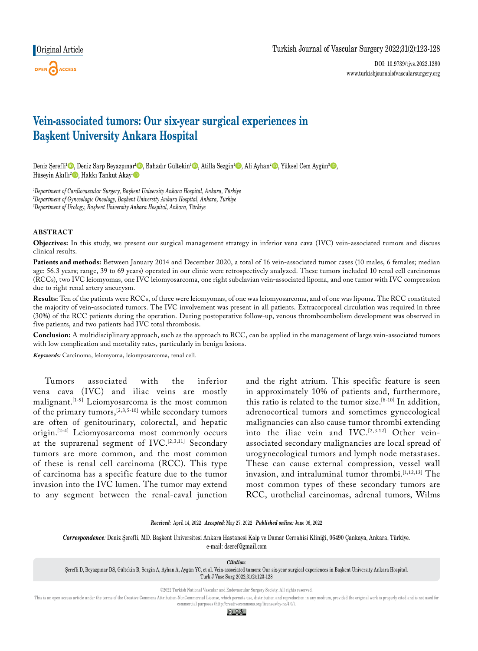# **Original Article**



# **Vein-associated tumors: Our six-year surgical experiences in Başkent University Ankara Hospital**

Deniz Şerefli<sup>1</sup> ©, Deniz Sarp Beyazpınar<sup>ı</sup> ©, Bahadır Gültekin<sup>1</sup> ©, Atilla Sezgin<sup>1</sup> ©, Ali Ayhan<sup>2</sup> ©, Yüksel Cem Aygün<sup>3</sup> ©, Hüseyin Akıllı<sup>2</sup><sup>0</sup>, Hakkı Tankut Akay<sup>ı</sup><sup>0</sup>

*1 Department of Cardiovascular Surgery, Başkent University Ankara Hospital, Ankara, Türkiye 2 Department of Gynecologic Oncology, Başkent University Ankara Hospital, Ankara, Türkiye 3 Department of Urology, Başkent University Ankara Hospital, Ankara, Türkiye*

## **ABSTRACT**

**Objectives:** In this study, we present our surgical management strategy in inferior vena cava (IVC) vein-associated tumors and discuss clinical results.

Patients and methods: Between January 2014 and December 2020, a total of 16 vein-associated tumor cases (10 males, 6 females; median age: 56.3 years; range, 39 to 69 years) operated in our clinic were retrospectively analyzed. These tumors included 10 renal cell carcinomas (RCCs), two IVC leiomyomas, one IVC leiomyosarcoma, one right subclavian vein-associated lipoma, and one tumor with IVC compression due to right renal artery aneurysm.

**Results:** Ten of the patients were RCCs, of three were leiomyomas, of one was leiomyosarcoma, and of one was lipoma. The RCC constituted the majority of vein-associated tumors. The IVC involvement was present in all patients. Extracorporeal circulation was required in three (30%) of the RCC patients during the operation. During postoperative follow-up, venous thromboembolism development was observed in five patients, and two patients had IVC total thrombosis.

**Conclusion:** A multidisciplinary approach, such as the approach to RCC, can be applied in the management of large vein-associated tumors with low complication and mortality rates, particularly in benign lesions.

*Keywords:* Carcinoma, leiomyoma, leiomyosarcoma, renal cell.

Tumors associated with the inferior vena cava (IVC) and iliac veins are mostly malignant.[1-5] Leiomyosarcoma is the most common of the primary tumors,[2,3,5-10] while secondary tumors are often of genitourinary, colorectal, and hepatic origin.[2-4] Leiomyosarcoma most commonly occurs at the suprarenal segment of IVC.[2,3,11] Secondary tumors are more common, and the most common of these is renal cell carcinoma (RCC). This type of carcinoma has a specific feature due to the tumor invasion into the IVC lumen. The tumor may extend to any segment between the renal-caval junction and the right atrium. This specific feature is seen in approximately 10% of patients and, furthermore, this ratio is related to the tumor size.[8-10] In addition, adrenocortical tumors and sometimes gynecological malignancies can also cause tumor thrombi extending into the iliac vein and IVC.<sup>[2,3,12]</sup> Other veinassociated secondary malignancies are local spread of urogynecological tumors and lymph node metastases. These can cause external compression, vessel wall invasion, and intraluminal tumor thrombi.<sup>[1,12,13]</sup> The most common types of these secondary tumors are RCC, urothelial carcinomas, adrenal tumors, Wilms

*Received:* April 14, 2022 *Accepted:* May 27, 2022 *Published online:* June 06, 2022

*Correspondence:* Deniz Şerefli, MD. Başkent Üniversitesi Ankara Hastanesi Kalp ve Damar Cerrahisi Kliniği, 06490 Çankaya, Ankara, Türkiye. e-mail: dseref@gmail.com

*Citation:*

Şerefli D, Beyazpınar DS, Gültekin B, Sezgin A, Ayhan A, Aygün YC, et al. Vein-associated tumors: Our six-year surgical experiences in Başkent University Ankara Hospital. Turk J Vasc Surg 2022;31(2):123-128

©2022 Turkish National Vascular and Endovascular Surgery Society. All rights reserved.

This is an open access article under the terms of the Creative Commons Attribution-NonCommercial License, which permits use, distribution and reproduction in any medium, provided the original work is properly cited and is commercial purposes (http://creativecommons.org/licenses/by-nc/4.0/).

<u>ම 0ම </u>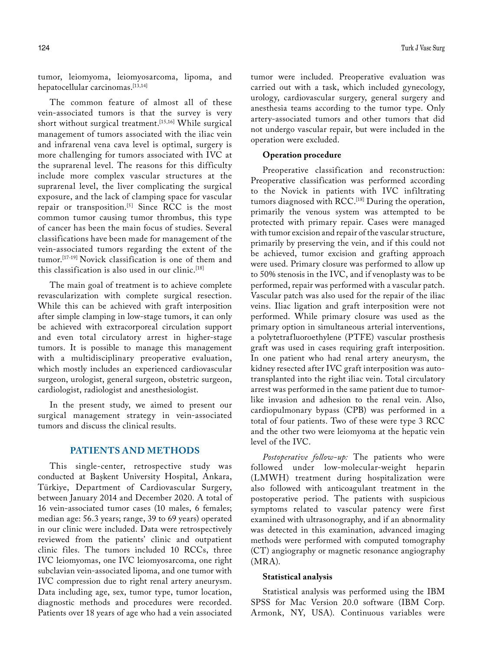tumor, leiomyoma, leiomyosarcoma, lipoma, and hepatocellular carcinomas.[13,14]

The common feature of almost all of these vein-associated tumors is that the survey is very short without surgical treatment.<sup>[15,16]</sup> While surgical management of tumors associated with the iliac vein and infrarenal vena cava level is optimal, surgery is more challenging for tumors associated with IVC at the suprarenal level. The reasons for this difficulty include more complex vascular structures at the suprarenal level, the liver complicating the surgical exposure, and the lack of clamping space for vascular repair or transposition.[5] Since RCC is the most common tumor causing tumor thrombus, this type of cancer has been the main focus of studies. Several classifications have been made for management of the vein-associated tumors regarding the extent of the tumor.[17-19] Novick classification is one of them and this classification is also used in our clinic.<sup>[18]</sup>

The main goal of treatment is to achieve complete revascularization with complete surgical resection. While this can be achieved with graft interposition after simple clamping in low-stage tumors, it can only be achieved with extracorporeal circulation support and even total circulatory arrest in higher-stage tumors. It is possible to manage this management with a multidisciplinary preoperative evaluation, which mostly includes an experienced cardiovascular surgeon, urologist, general surgeon, obstetric surgeon, cardiologist, radiologist and anesthesiologist.

In the present study, we aimed to present our surgical management strategy in vein-associated tumors and discuss the clinical results.

# **PATIENTS AND METHODS**

This single-center, retrospective study was conducted at Başkent University Hospital, Ankara, Türkiye, Department of Cardiovascular Surgery, between January 2014 and December 2020. A total of 16 vein-associated tumor cases (10 males, 6 females; median age: 56.3 years; range, 39 to 69 years) operated in our clinic were included. Data were retrospectively reviewed from the patients' clinic and outpatient clinic files. The tumors included 10 RCCs, three IVC leiomyomas, one IVC leiomyosarcoma, one right subclavian vein-associated lipoma, and one tumor with IVC compression due to right renal artery aneurysm. Data including age, sex, tumor type, tumor location, diagnostic methods and procedures were recorded. Patients over 18 years of age who had a vein associated

tumor were included. Preoperative evaluation was carried out with a task, which included gynecology, urology, cardiovascular surgery, general surgery and anesthesia teams according to the tumor type. Only artery-associated tumors and other tumors that did not undergo vascular repair, but were included in the operation were excluded.

#### **Operation procedure**

Preoperative classification and reconstruction: Preoperative classification was performed according to the Novick in patients with IVC infiltrating tumors diagnosed with RCC.[18] During the operation, primarily the venous system was attempted to be protected with primary repair. Cases were managed with tumor excision and repair of the vascular structure, primarily by preserving the vein, and if this could not be achieved, tumor excision and grafting approach were used. Primary closure was performed to allow up to 50% stenosis in the IVC, and if venoplasty was to be performed, repair was performed with a vascular patch. Vascular patch was also used for the repair of the iliac veins. Iliac ligation and graft interposition were not performed. While primary closure was used as the primary option in simultaneous arterial interventions, a polytetrafluoroethylene (PTFE) vascular prosthesis graft was used in cases requiring graft interposition. In one patient who had renal artery aneurysm, the kidney resected after IVC graft interposition was autotransplanted into the right iliac vein. Total circulatory arrest was performed in the same patient due to tumorlike invasion and adhesion to the renal vein. Also, cardiopulmonary bypass (CPB) was performed in a total of four patients. Two of these were type 3 RCC and the other two were leiomyoma at the hepatic vein level of the IVC.

*Postoperative follow-up:* The patients who were followed under low-molecular-weight heparin (LMWH) treatment during hospitalization were also followed with anticoagulant treatment in the postoperative period. The patients with suspicious symptoms related to vascular patency were first examined with ultrasonography, and if an abnormality was detected in this examination, advanced imaging methods were performed with computed tomography (CT) angiography or magnetic resonance angiography (MRA).

## **Statistical analysis**

Statistical analysis was performed using the IBM SPSS for Mac Version 20.0 software (IBM Corp. Armonk, NY, USA). Continuous variables were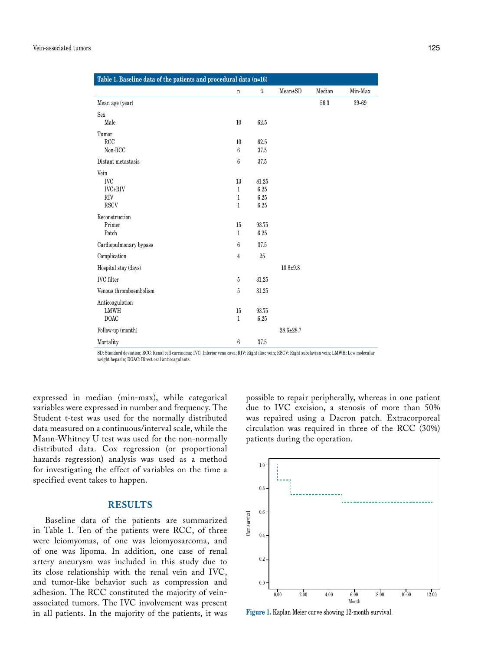| Table 1. Baseline data of the patients and procedural data (n=16) |                  |       |                 |        |         |  |  |  |  |  |
|-------------------------------------------------------------------|------------------|-------|-----------------|--------|---------|--|--|--|--|--|
|                                                                   | $\mathbf n$      | $\%$  | Mean±SD         | Median | Min-Max |  |  |  |  |  |
| Mean age (year)                                                   |                  |       |                 | 56.3   | 39-69   |  |  |  |  |  |
| Sex                                                               |                  |       |                 |        |         |  |  |  |  |  |
| Male                                                              | 10               | 62.5  |                 |        |         |  |  |  |  |  |
| Tumor                                                             |                  |       |                 |        |         |  |  |  |  |  |
| RCC                                                               | 10               | 62.5  |                 |        |         |  |  |  |  |  |
| Non-RCC                                                           | $6\phantom{.}6$  | 37.5  |                 |        |         |  |  |  |  |  |
| Distant metastasis                                                | $\boldsymbol{6}$ | 37.5  |                 |        |         |  |  |  |  |  |
| Vein                                                              |                  |       |                 |        |         |  |  |  |  |  |
| <b>IVC</b>                                                        | 13               | 81.25 |                 |        |         |  |  |  |  |  |
| IVC+RIV                                                           | $\mathbf{1}$     | 6.25  |                 |        |         |  |  |  |  |  |
| <b>RIV</b>                                                        | $\mathbf{1}$     | 6.25  |                 |        |         |  |  |  |  |  |
| <b>RSCV</b>                                                       | $\mathbf{1}$     | 6.25  |                 |        |         |  |  |  |  |  |
| Reconstruction                                                    |                  |       |                 |        |         |  |  |  |  |  |
| Primer                                                            | 15               | 93.75 |                 |        |         |  |  |  |  |  |
| Patch                                                             | $\mathbf{1}$     | 6.25  |                 |        |         |  |  |  |  |  |
| Cardiopulmonary bypass                                            | $6\phantom{.}6$  | 37.5  |                 |        |         |  |  |  |  |  |
| Complication                                                      | $\overline{4}$   | 25    |                 |        |         |  |  |  |  |  |
| Hospital stay (days)                                              |                  |       | $10.8 + 9.8$    |        |         |  |  |  |  |  |
| <b>IVC</b> filter                                                 | $\bf 5$          | 31.25 |                 |        |         |  |  |  |  |  |
| Venous thromboembolism                                            | $\bf 5$          | 31.25 |                 |        |         |  |  |  |  |  |
| Anticoagulation                                                   |                  |       |                 |        |         |  |  |  |  |  |
| <b>LMWH</b>                                                       | 15               | 93.75 |                 |        |         |  |  |  |  |  |
| <b>DOAC</b>                                                       | $\mathbf{1}$     | 6.25  |                 |        |         |  |  |  |  |  |
| Follow-up (month)                                                 |                  |       | $28.6 \pm 28.7$ |        |         |  |  |  |  |  |
| Mortality                                                         | 6                | 37.5  |                 |        |         |  |  |  |  |  |

SD: Standard deviation; RCC: Renal cell carcinoma; IVC: Inferior vena cava; RIV: Right iliac vein; RSCV: Right subclavian vein; LMWH: Low molecular weight heparin; DOAC: Direct oral anticoagulants.

expressed in median (min-max), while categorical variables were expressed in number and frequency. The Student t-test was used for the normally distributed data measured on a continuous/interval scale, while the Mann-Whitney U test was used for the non-normally distributed data. Cox regression (or proportional hazards regression) analysis was used as a method for investigating the effect of variables on the time a specified event takes to happen.

## **RESULTS**

Baseline data of the patients are summarized in Table 1. Ten of the patients were RCC, of three were leiomyomas, of one was leiomyosarcoma, and of one was lipoma. In addition, one case of renal artery aneurysm was included in this study due to its close relationship with the renal vein and IVC, and tumor-like behavior such as compression and adhesion. The RCC constituted the majority of veinassociated tumors. The IVC involvement was present in all patients. In the majority of the patients, it was possible to repair peripherally, whereas in one patient due to IVC excision, a stenosis of more than 50% was repaired using a Dacron patch. Extracorporeal circulation was required in three of the RCC (30%) patients during the operation.



**Figure 1.** Kaplan Meier curve showing 12-month survival.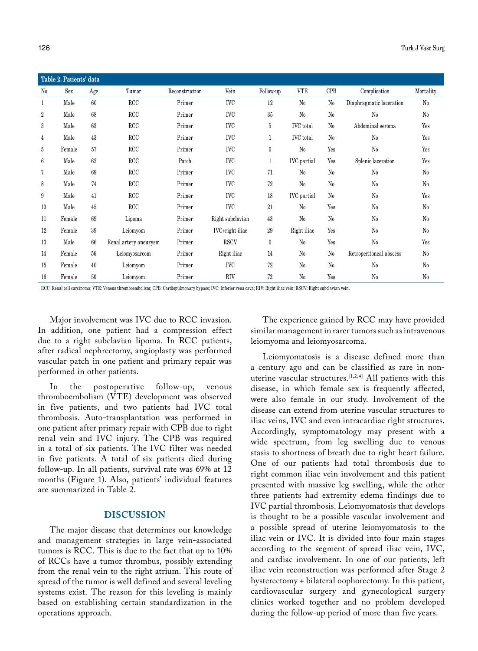| Table 2. Patients' data |        |     |                       |                |                  |                  |                    |                |                          |             |  |  |
|-------------------------|--------|-----|-----------------------|----------------|------------------|------------------|--------------------|----------------|--------------------------|-------------|--|--|
| $\rm N_{0}$             | Sex    | Age | Tumor                 | Reconstruction | Vein             | Follow-up        | <b>VTE</b>         | <b>CPB</b>     | Complication             | Mortality   |  |  |
| $\mathbf{1}$            | Male   | 60  | RCC                   | Primer         | <b>IVC</b>       | 12               | No                 | N <sub>0</sub> | Diaphragmatic laceration | $\rm No$    |  |  |
| $\overline{2}$          | Male   | 68  | RCC                   | Primer         | <b>IVC</b>       | 35               | No                 | $\rm N_{0}$    | $\rm No$                 | $\rm N_{0}$ |  |  |
| 3                       | Male   | 63  | RCC                   | Primer         | <b>IVC</b>       | 5                | <b>IVC</b> total   | $\rm No$       | Abdominal seroma         | Yes         |  |  |
| 4                       | Male   | 43  | RCC                   | Primer         | <b>IVC</b>       | 1                | <b>IVC</b> total   | N <sub>0</sub> | $\rm N_0$                | Yes         |  |  |
| 5                       | Female | 57  | RCC                   | Primer         | <b>IVC</b>       | $\bf{0}$         | No                 | Yes            | N <sub>0</sub>           | Yes         |  |  |
| 6                       | Male   | 62  | RCC                   | Patch          | <b>IVC</b>       | $\mathbf{1}$     | <b>IVC</b> partial | Yes            | Splenic laceration       | Yes         |  |  |
| 7                       | Male   | 69  | RCC                   | Primer         | <b>IVC</b>       | 71               | $\rm No$           | N <sub>0</sub> | No                       | $\rm No$    |  |  |
| 8                       | Male   | 74  | RCC                   | Primer         | <b>IVC</b>       | 72               | $\rm N_{0}$        | $\rm N_0$      | $\rm N_{0}$              | $\rm No$    |  |  |
| 9                       | Male   | 41  | RCC                   | Primer         | <b>IVC</b>       | 18               | <b>IVC</b> partial | $\rm No$       | No                       | Yes         |  |  |
| 10                      | Male   | 45  | RCC                   | Primer         | <b>IVC</b>       | 21               | $\rm No$           | Yes            | $\rm N_0$                | $\rm No$    |  |  |
| 11                      | Female | 69  | Lipoma                | Primer         | Right subclavian | 43               | $\rm No$           | $\rm N_0$      | $\rm N_0$                | $\rm No$    |  |  |
| 12                      | Female | 39  | Leiomyom              | Primer         | IVC+right iliac  | 29               | Right iliac        | Yes            | No                       | $\rm No$    |  |  |
| 13                      | Male   | 66  | Renal artery aneurysm | Primer         | <b>RSCV</b>      | $\boldsymbol{0}$ | $\rm No$           | Yes            | $\rm N_0$                | Yes         |  |  |
| 14                      | Female | 56  | Leiomyosarcom         | Primer         | Right iliac      | 14               | N <sub>0</sub>     | $\rm N_{0}$    | Retroperitoneal abscess  | $\rm No$    |  |  |
| 15                      | Female | 40  | Leiomyom              | Primer         | <b>IVC</b>       | 72               | N <sub>0</sub>     | $\rm N_{0}$    | No                       | $\rm No$    |  |  |
| 16                      | Female | 50  | Leiomyom              | Primer         | <b>RIV</b>       | 72               | N <sub>0</sub>     | Yes            | $\rm No$                 | $\rm N_{0}$ |  |  |

RCC: Renal cell carcinoma; VTE: Venous thromboembolism; CPB: Cardiopulmonary bypass; IVC: Inferior vena cava; RIV: Right iliac vein; RSCV: Right subclavian vein.

Major involvement was IVC due to RCC invasion. In addition, one patient had a compression effect due to a right subclavian lipoma. In RCC patients, after radical nephrectomy, angioplasty was performed vascular patch in one patient and primary repair was performed in other patients.

In the postoperative follow-up, venous thromboembolism (VTE) development was observed in five patients, and two patients had IVC total thrombosis. Auto-transplantation was performed in one patient after primary repair with CPB due to right renal vein and IVC injury. The CPB was required in a total of six patients. The IVC filter was needed in five patients. A total of six patients died during follow-up. In all patients, survival rate was 69% at 12 months (Figure 1). Also, patients' individual features are summarized in Table 2.

## **DISCUSSION**

The major disease that determines our knowledge and management strategies in large vein-associated tumors is RCC. This is due to the fact that up to 10% of RCCs have a tumor thrombus, possibly extending from the renal vein to the right atrium. This route of spread of the tumor is well defined and several leveling systems exist. The reason for this leveling is mainly based on establishing certain standardization in the operations approach.

The experience gained by RCC may have provided similar management in rarer tumors such as intravenous leiomyoma and leiomyosarcoma.

Leiomyomatosis is a disease defined more than a century ago and can be classified as rare in nonuterine vascular structures.[1,2,4] All patients with this disease, in which female sex is frequently affected, were also female in our study. Involvement of the disease can extend from uterine vascular structures to iliac veins, IVC and even intracardiac right structures. Accordingly, symptomatology may present with a wide spectrum, from leg swelling due to venous stasis to shortness of breath due to right heart failure. One of our patients had total thrombosis due to right common iliac vein involvement and this patient presented with massive leg swelling, while the other three patients had extremity edema findings due to IVC partial thrombosis. Leiomyomatosis that develops is thought to be a possible vascular involvement and a possible spread of uterine leiomyomatosis to the iliac vein or IVC. It is divided into four main stages according to the segment of spread iliac vein, IVC, and cardiac involvement. In one of our patients, left iliac vein reconstruction was performed after Stage 2 hysterectomy + bilateral oophorectomy. In this patient, cardiovascular surgery and gynecological surgery clinics worked together and no problem developed during the follow-up period of more than five years.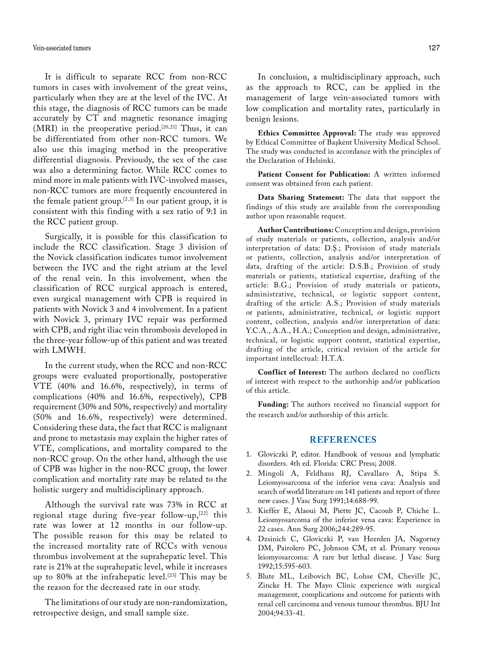It is difficult to separate RCC from non-RCC tumors in cases with involvement of the great veins, particularly when they are at the level of the IVC. At this stage, the diagnosis of RCC tumors can be made accurately by CT and magnetic resonance imaging  $(MRI)$  in the preoperative period.<sup>[20,21]</sup> Thus, it can be differentiated from other non-RCC tumors. We also use this imaging method in the preoperative differential diagnosis. Previously, the sex of the case was also a determining factor. While RCC comes to mind more in male patients with IVC-involved masses, non-RCC tumors are more frequently encountered in the female patient group.<sup>[2,3]</sup> In our patient group, it is consistent with this finding with a sex ratio of 9:1 in the RCC patient group.

Surgically, it is possible for this classification to include the RCC classification. Stage 3 division of the Novick classification indicates tumor involvement between the IVC and the right atrium at the level of the renal vein. In this involvement, when the classification of RCC surgical approach is entered, even surgical management with CPB is required in patients with Novick 3 and 4 involvement. In a patient with Novick 3, primary IVC repair was performed with CPB, and right iliac vein thrombosis developed in the three-year follow-up of this patient and was treated with LMWH.

In the current study, when the RCC and non-RCC groups were evaluated proportionally, postoperative VTE (40% and 16.6%, respectively), in terms of complications (40% and 16.6%, respectively), CPB requirement (30% and 50%, respectively) and mortality (50% and 16.6%, respectively) were determined. Considering these data, the fact that RCC is malignant and prone to metastasis may explain the higher rates of VTE, complications, and mortality compared to the non-RCC group. On the other hand, although the use of CPB was higher in the non-RCC group, the lower complication and mortality rate may be related to the holistic surgery and multidisciplinary approach.

Although the survival rate was 73% in RCC at regional stage during five-year follow-up, $[22]$  this rate was lower at 12 months in our follow-up. The possible reason for this may be related to the increased mortality rate of RCCs with venous thrombus involvement at the suprahepatic level. This rate is 21% at the suprahepatic level, while it increases up to 80% at the infrahepatic level.<sup>[23]</sup> This may be the reason for the decreased rate in our study.

The limitations of our study are non-randomization, retrospective design, and small sample size.

In conclusion, a multidisciplinary approach, such as the approach to RCC, can be applied in the management of large vein-associated tumors with low complication and mortality rates, particularly in benign lesions.

**Ethics Committee Approval:** The study was approved by Ethical Committee of Başkent University Medical School. The study was conducted in accordance with the principles of the Declaration of Helsinki.

Patient Consent for Publication: A written informed consent was obtained from each patient.

**Data Sharing Statement:** The data that support the findings of this study are available from the corresponding author upon reasonable request.

**Author Contributions:** Conception and design, provision of study materials or patients, collection, analysis and/or interpretation of data: D.Ş.; Provision of study materials or patients, collection, analysis and/or interpretation of data, drafting of the article: D.S.B.; Provision of study materials or patients, statistical expertise, drafting of the article: B.G.; Provision of study materials or patients, administrative, technical, or logistic support content, drafting of the article: A.S.; Provision of study materials or patients, administrative, technical, or logistic support content, collection, analysis and/or interpretation of data: Y.C.A., A.A., H.A.; Conception and design, administrative, technical, or logistic support content, statistical expertise, drafting of the article, critical revision of the article for important intellectual: H.T.A.

**Conflict of Interest:** The authors declared no conflicts of interest with respect to the authorship and/or publication of this article.

**Funding:** The authors received no financial support for the research and/or authorship of this article.

## **REFERENCES**

- 1. Gloviczki P, editor. Handbook of venous and lymphatic disorders. 4th ed. Florida: CRC Press; 2008.
- 2. Mingoli A, Feldhaus RJ, Cavallaro A, Stipa S. Leiomyosarcoma of the inferior vena cava: Analysis and search of world literature on 141 patients and report of three new cases. J Vasc Surg 1991;14:688-99.
- 3. Kieffer E, Alaoui M, Piette JC, Cacoub P, Chiche L. Leiomyosarcoma of the inferior vena cava: Experience in 22 cases. Ann Surg 2006;244:289-95.
- 4. Dzsinich C, Gloviczki P, van Heerden JA, Nagorney DM, Pairolero PC, Johnson CM, et al. Primary venous leiomyosarcoma: A rare but lethal disease. J Vasc Surg 1992;15:595-603.
- 5. Blute ML, Leibovich BC, Lohse CM, Cheville JC, Zincke H. The Mayo Clinic experience with surgical management, complications and outcome for patients with renal cell carcinoma and venous tumour thrombus. BJU Int 2004;94:33-41.